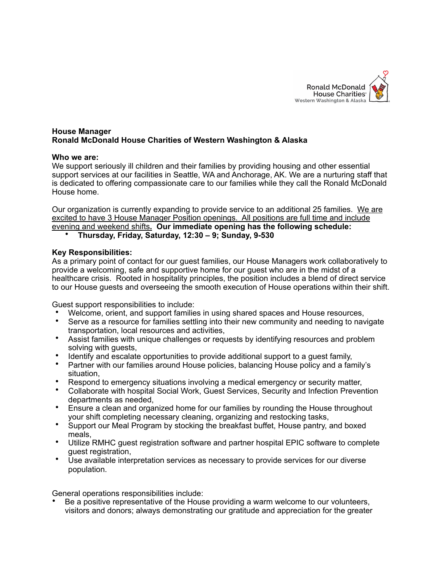

### **House Manager Ronald McDonald House Charities of Western Washington & Alaska**

### **Who we are:**

We support seriously ill children and their families by providing housing and other essential support services at our facilities in Seattle, WA and Anchorage, AK. We are a nurturing staff that is dedicated to offering compassionate care to our families while they call the Ronald McDonald House home.

Our organization is currently expanding to provide service to an additional 25 families. We are excited to have 3 House Manager Position openings. All positions are full time and include evening and weekend shifts**. Our immediate opening has the following schedule:**

• **Thursday, Friday, Saturday, 12:30 – 9; Sunday, 9-530**

### **Key Responsibilities:**

As a primary point of contact for our guest families, our House Managers work collaboratively to provide a welcoming, safe and supportive home for our guest who are in the midst of a healthcare crisis. Rooted in hospitality principles, the position includes a blend of direct service to our House guests and overseeing the smooth execution of House operations within their shift.

Guest support responsibilities to include:

- Welcome, orient, and support families in using shared spaces and House resources,<br>• Serve as a resource for families settling into their new community and needing to nay
- Serve as a resource for families settling into their new community and needing to navigate transportation, local resources and activities,
- Assist families with unique challenges or requests by identifying resources and problem solving with guests,
- Identify and escalate opportunities to provide additional support to a guest family,
- Partner with our families around House policies, balancing House policy and a family's situation,
- Respond to emergency situations involving a medical emergency or security matter,
- Collaborate with hospital Social Work, Guest Services, Security and Infection Prevention departments as needed,
- Ensure a clean and organized home for our families by rounding the House throughout your shift completing necessary cleaning, organizing and restocking tasks,
- Support our Meal Program by stocking the breakfast buffet, House pantry, and boxed meals,
- Utilize RMHC guest registration software and partner hospital EPIC software to complete guest registration,
- Use available interpretation services as necessary to provide services for our diverse population.

General operations responsibilities include:

• Be a positive representative of the House providing a warm welcome to our volunteers, visitors and donors; always demonstrating our gratitude and appreciation for the greater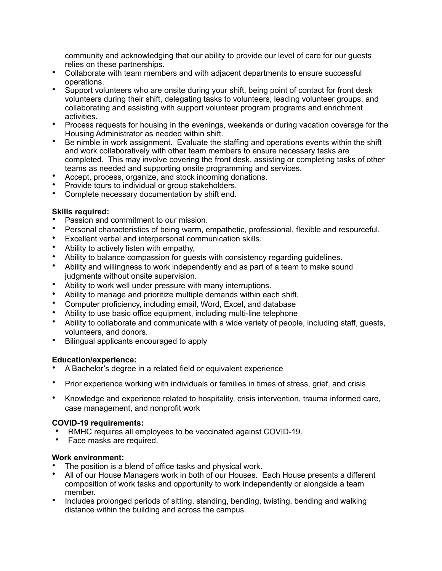community and acknowledging that our ability to provide our level of care for our guests relies on these partnerships.

- Collaborate with team members and with adjacent departments to ensure successful operations.
- Support volunteers who are onsite during your shift, being point of contact for front desk volunteers during their shift, delegating tasks to volunteers, leading volunteer groups, and collaborating and assisting with support volunteer program programs and enrichment activities.
- Process requests for housing in the evenings, weekends or during vacation coverage for the Housing Administrator as needed within shift.
- Be nimble in work assignment. Evaluate the staffing and operations events within the shift and work collaboratively with other team members to ensure necessary tasks are completed. This may involve covering the front desk, assisting or completing tasks of other teams as needed and supporting onsite programming and services.
- Accept, process, organize, and stock incoming donations.
- Provide tours to individual or group stakeholders.
- Complete necessary documentation by shift end.

# **Skills required:**

- Passion and commitment to our mission.
- Personal characteristics of being warm, empathetic, professional, flexible and resourceful.
- Excellent verbal and interpersonal communication skills.
- Ability to actively listen with empathy,
- Ability to balance compassion for guests with consistency regarding guidelines.
- Ability and willingness to work independently and as part of a team to make sound judgments without onsite supervision.
- Ability to work well under pressure with many interruptions.
- Ability to manage and prioritize multiple demands within each shift.
- Computer proficiency, including email, Word, Excel, and database
- Ability to use basic office equipment, including multi-line telephone
- Ability to collaborate and communicate with a wide variety of people, including staff, guests, volunteers, and donors.
- Bilingual applicants encouraged to apply

# **Education/experience:**

- A Bachelor's degree in a related field or equivalent experience
- Prior experience working with individuals or families in times of stress, grief, and crisis.
- Knowledge and experience related to hospitality, crisis intervention, trauma informed care, case management, and nonprofit work

# **COVID-19 requirements:**

- RMHC requires all employees to be vaccinated against COVID-19.
- Face masks are required.

# **Work environment:**

- The position is a blend of office tasks and physical work.
- All of our House Managers work in both of our Houses. Each House presents a different composition of work tasks and opportunity to work independently or alongside a team member.
- Includes prolonged periods of sitting, standing, bending, twisting, bending and walking distance within the building and across the campus.